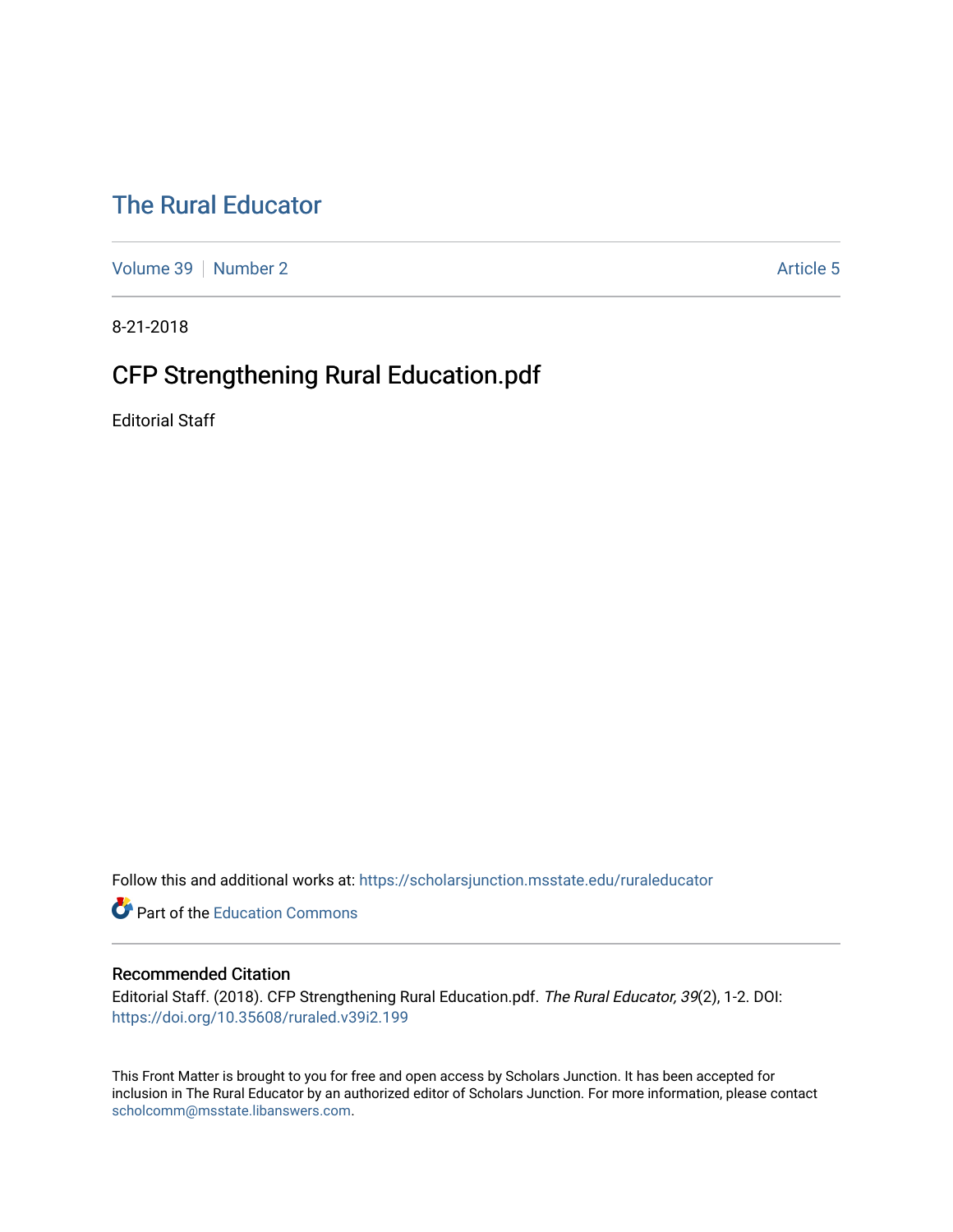# [The Rural Educator](https://scholarsjunction.msstate.edu/ruraleducator)

[Volume 39](https://scholarsjunction.msstate.edu/ruraleducator/vol39) [Number 2](https://scholarsjunction.msstate.edu/ruraleducator/vol39/iss2) Article 5

8-21-2018

# CFP Strengthening Rural Education.pdf

Editorial Staff

Follow this and additional works at: [https://scholarsjunction.msstate.edu/ruraleducator](https://scholarsjunction.msstate.edu/ruraleducator?utm_source=scholarsjunction.msstate.edu%2Fruraleducator%2Fvol39%2Fiss2%2F5&utm_medium=PDF&utm_campaign=PDFCoverPages)

**C** Part of the [Education Commons](http://network.bepress.com/hgg/discipline/784?utm_source=scholarsjunction.msstate.edu%2Fruraleducator%2Fvol39%2Fiss2%2F5&utm_medium=PDF&utm_campaign=PDFCoverPages)

### Recommended Citation

Editorial Staff. (2018). CFP Strengthening Rural Education.pdf. The Rural Educator, 39(2), 1-2. DOI: <https://doi.org/10.35608/ruraled.v39i2.199>

This Front Matter is brought to you for free and open access by Scholars Junction. It has been accepted for inclusion in The Rural Educator by an authorized editor of Scholars Junction. For more information, please contact [scholcomm@msstate.libanswers.com.](mailto:scholcomm@msstate.libanswers.com)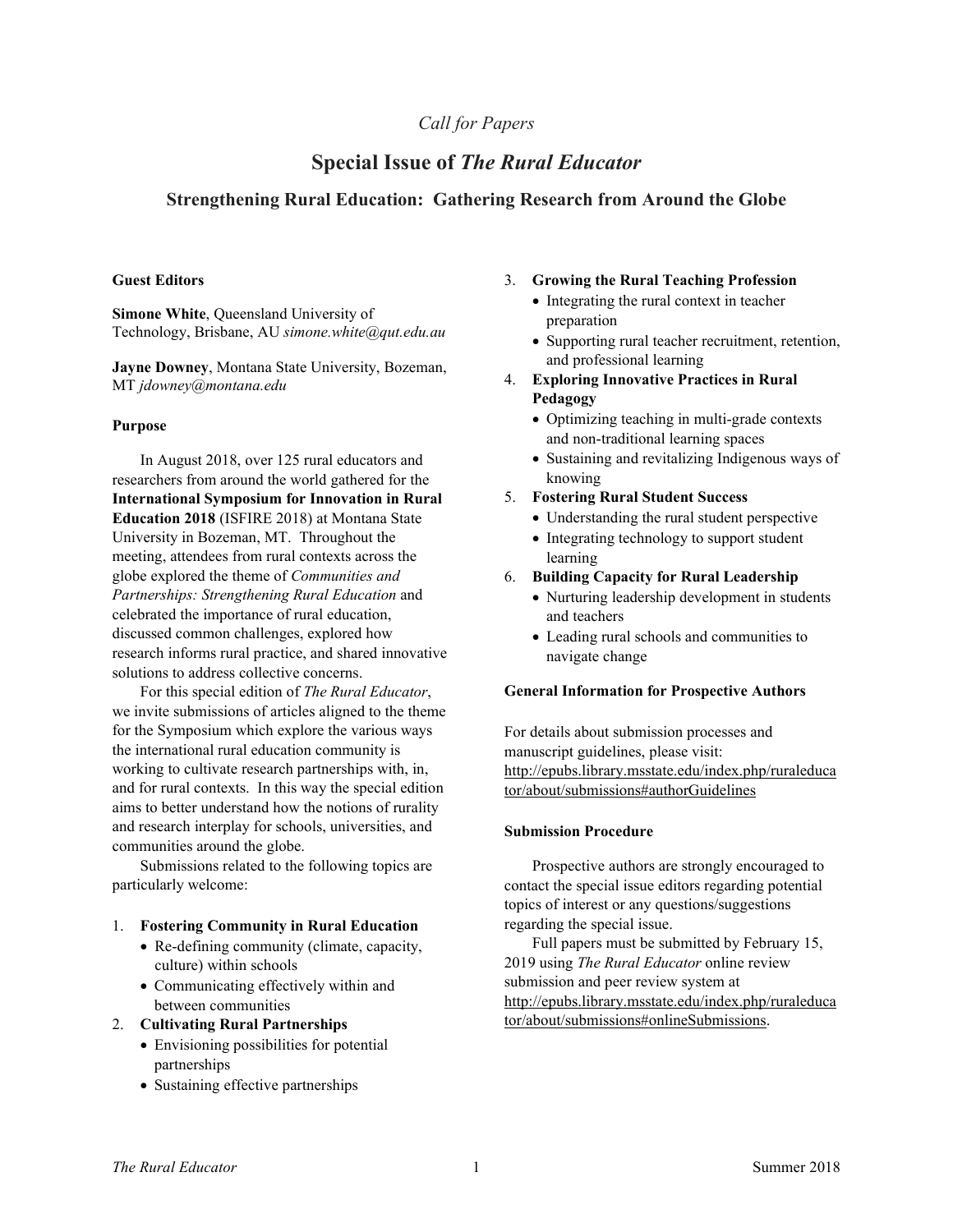## *Call for Papers*

# **Special Issue of** *The Rural Educator*

### **Strengthening Rural Education: Gathering Research from Around the Globe**

#### **Guest Editors**

**Simone White**, Queensland University of Technology, Brisbane, AU *simone.white@qut.edu.au*

**Jayne Downey**, Montana State University, Bozeman, MT *jdowney@montana.edu*

#### **Purpose**

In August 2018, over 125 rural educators and researchers from around the world gathered for the **International Symposium for Innovation in Rural Education 2018** (ISFIRE 2018) at Montana State University in Bozeman, MT. Throughout the meeting, attendees from rural contexts across the globe explored the theme of *Communities and Partnerships: Strengthening Rural Education* and celebrated the importance of rural education, discussed common challenges, explored how research informs rural practice, and shared innovative solutions to address collective concerns.

For this special edition of *The Rural Educator*, we invite submissions of articles aligned to the theme for the Symposium which explore the various ways the international rural education community is working to cultivate research partnerships with, in, and for rural contexts. In this way the special edition aims to better understand how the notions of rurality and research interplay for schools, universities, and communities around the globe.

Submissions related to the following topics are particularly welcome:

#### 1. **Fostering Community in Rural Education**

- Re-defining community (climate, capacity, culture) within schools
- Communicating effectively within and between communities
- 2. **Cultivating Rural Partnerships**
	- Envisioning possibilities for potential partnerships
	- Sustaining effective partnerships

#### 3. **Growing the Rural Teaching Profession**

- Integrating the rural context in teacher preparation
- Supporting rural teacher recruitment, retention, and professional learning
- 4. **Exploring Innovative Practices in Rural Pedagogy**
	- Optimizing teaching in multi-grade contexts and non-traditional learning spaces
	- Sustaining and revitalizing Indigenous ways of knowing
- 5. **Fostering Rural Student Success**
	- Understanding the rural student perspective
	- Integrating technology to support student learning
- 6. **Building Capacity for Rural Leadership**
	- Nurturing leadership development in students and teachers
	- Leading rural schools and communities to navigate change

#### **General Information for Prospective Authors**

For details about submission processes and manuscript guidelines, please visit: http://epubs.library.msstate.edu/index.php/ruraleduca tor/about/submissions#authorGuidelines

#### **Submission Procedure**

Prospective authors are strongly encouraged to contact the special issue editors regarding potential topics of interest or any questions/suggestions regarding the special issue.

Full papers must be submitted by February 15, 2019 using *The Rural Educator* online review submission and peer review system at http://epubs.library.msstate.edu/index.php/ruraleduca tor/about/submissions#onlineSubmissions.